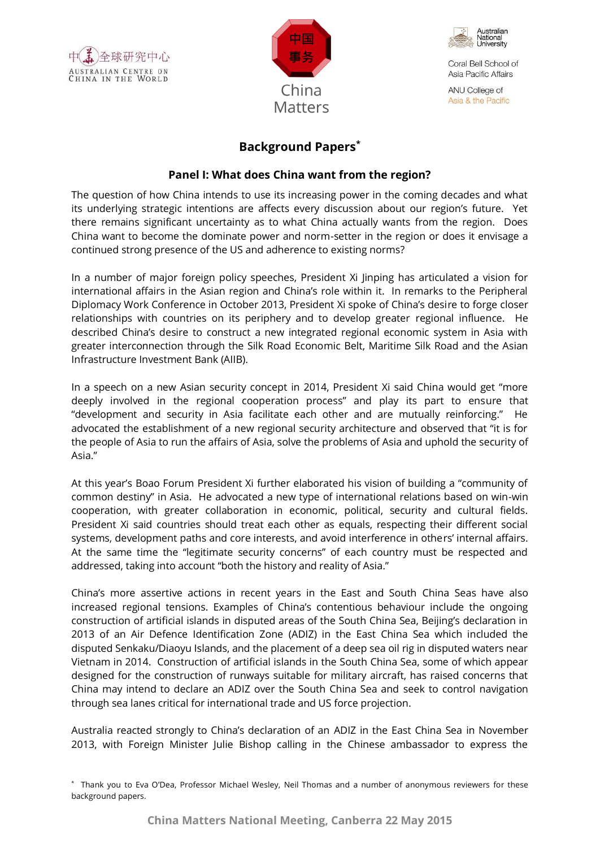





ANU College of Asia & the Pacific

# **Background Papers\***

## **Panel I: What does China want from the region?**

The question of how China intends to use its increasing power in the coming decades and what its underlying strategic intentions are affects every discussion about our region's future. Yet there remains significant uncertainty as to what China actually wants from the region. Does China want to become the dominate power and norm-setter in the region or does it envisage a continued strong presence of the US and adherence to existing norms?

In a number of major foreign policy speeches, President Xi Jinping has articulated a vision for international affairs in the Asian region and China's role within it. In remarks to the Peripheral Diplomacy Work Conference in October 2013, President Xi spoke of China's desire to forge closer relationships with countries on its periphery and to develop greater regional influence. He described China's desire to construct a new integrated regional economic system in Asia with greater interconnection through the Silk Road Economic Belt, Maritime Silk Road and the Asian Infrastructure Investment Bank (AIIB).

In a speech on a new Asian security concept in 2014, President Xi said China would get "more deeply involved in the regional cooperation process" and play its part to ensure that "development and security in Asia facilitate each other and are mutually reinforcing." He advocated the establishment of a new regional security architecture and observed that "it is for the people of Asia to run the affairs of Asia, solve the problems of Asia and uphold the security of Asia."

At this year's Boao Forum President Xi further elaborated his vision of building a "community of common destiny" in Asia. He advocated a new type of international relations based on win-win cooperation, with greater collaboration in economic, political, security and cultural fields. President Xi said countries should treat each other as equals, respecting their different social systems, development paths and core interests, and avoid interference in others' internal affairs. At the same time the "legitimate security concerns" of each country must be respected and addressed, taking into account "both the history and reality of Asia."

China's more assertive actions in recent years in the East and South China Seas have also increased regional tensions. Examples of China's contentious behaviour include the ongoing construction of artificial islands in disputed areas of the South China Sea, Beijing's declaration in 2013 of an Air Defence Identification Zone (ADIZ) in the East China Sea which included the disputed Senkaku/Diaoyu Islands, and the placement of a deep sea oil rig in disputed waters near Vietnam in 2014. Construction of artificial islands in the South China Sea, some of which appear designed for the construction of runways suitable for military aircraft, has raised concerns that China may intend to declare an ADIZ over the South China Sea and seek to control navigation through sea lanes critical for international trade and US force projection.

Australia reacted strongly to China's declaration of an ADIZ in the East China Sea in November 2013, with Foreign Minister Julie Bishop calling in the Chinese ambassador to express the

<sup>\*</sup> Thank you to Eva O'Dea, Professor Michael Wesley, Neil Thomas and a number of anonymous reviewers for these background papers.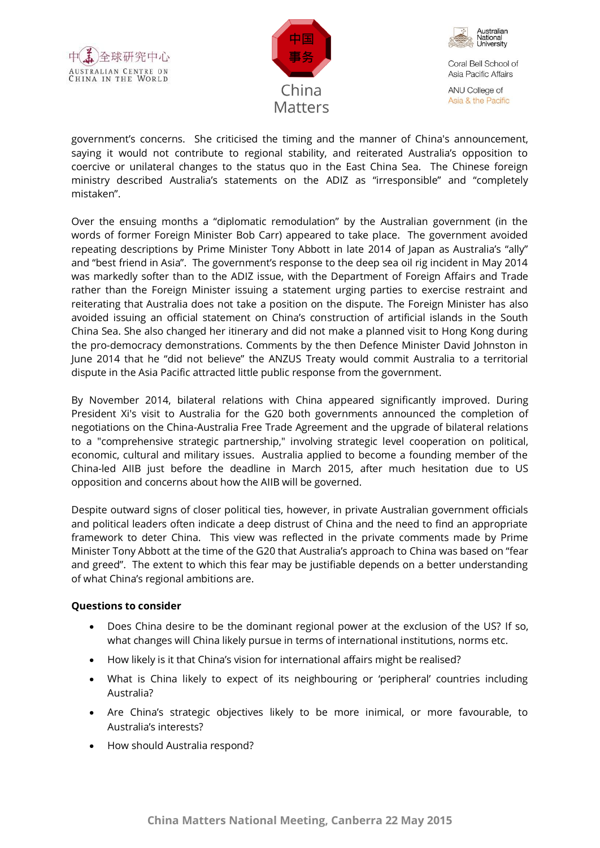





ANU College of Asia & the Pacific

government's concerns. She criticised the timing and the manner of China's announcement, saying it would not contribute to regional stability, and reiterated Australia's opposition to coercive or unilateral changes to the status quo in the East China Sea. The Chinese foreign ministry described Australia's statements on the ADIZ as "irresponsible" and "completely mistaken".

Over the ensuing months a "diplomatic remodulation" by the Australian government (in the words of former Foreign Minister Bob Carr) appeared to take place. The government avoided repeating descriptions by Prime Minister Tony Abbott in late 2014 of Japan as Australia's "ally" and "best friend in Asia". The government's response to the deep sea oil rig incident in May 2014 was markedly softer than to the ADIZ issue, with the Department of Foreign Affairs and Trade rather than the Foreign Minister issuing a statement urging parties to exercise restraint and reiterating that Australia does not take a position on the dispute. The Foreign Minister has also avoided issuing an official statement on China's construction of artificial islands in the South China Sea. She also changed her itinerary and did not make a planned visit to Hong Kong during the pro-democracy demonstrations. Comments by the then Defence Minister David Johnston in June 2014 that he "did not believe" the ANZUS Treaty would commit Australia to a territorial dispute in the Asia Pacific attracted little public response from the government.

By November 2014, bilateral relations with China appeared significantly improved. During President Xi's visit to Australia for the G20 both governments announced the completion of negotiations on the China-Australia Free Trade Agreement and the upgrade of bilateral relations to a "comprehensive strategic partnership," involving strategic level cooperation on political, economic, cultural and military issues. Australia applied to become a founding member of the China-led AIIB just before the deadline in March 2015, after much hesitation due to US opposition and concerns about how the AIIB will be governed.

Despite outward signs of closer political ties, however, in private Australian government officials and political leaders often indicate a deep distrust of China and the need to find an appropriate framework to deter China. This view was reflected in the private comments made by Prime Minister Tony Abbott at the time of the G20 that Australia's approach to China was based on "fear and greed". The extent to which this fear may be justifiable depends on a better understanding of what China's regional ambitions are.

### **Questions to consider**

- Does China desire to be the dominant regional power at the exclusion of the US? If so, what changes will China likely pursue in terms of international institutions, norms etc.
- How likely is it that China's vision for international affairs might be realised?
- What is China likely to expect of its neighbouring or 'peripheral' countries including Australia?
- Are China's strategic objectives likely to be more inimical, or more favourable, to Australia's interests?
- How should Australia respond?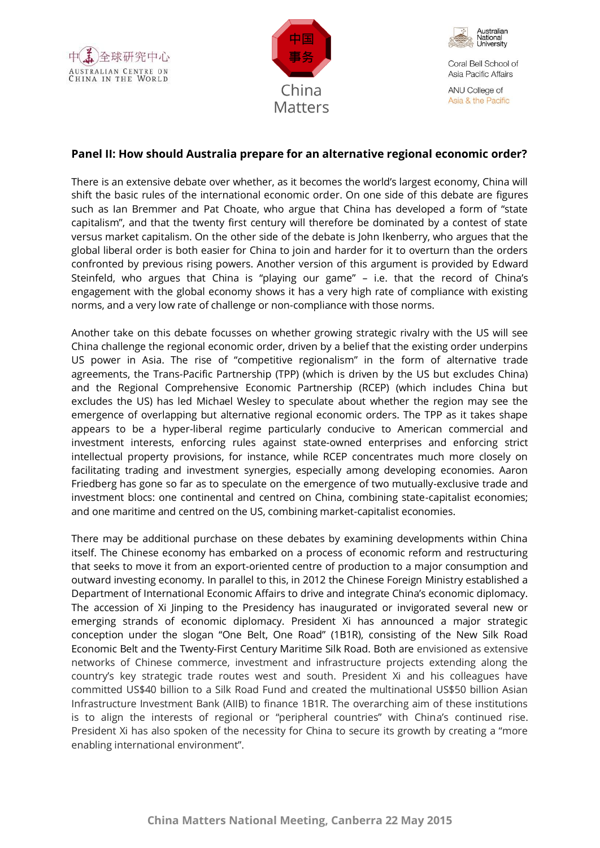





ANU College of Asia & the Pacific

## **Panel II: How should Australia prepare for an alternative regional economic order?**

There is an extensive debate over whether, as it becomes the world's largest economy, China will shift the basic rules of the international economic order. On one side of this debate are figures such as Ian Bremmer and Pat Choate, who argue that China has developed a form of "state capitalism", and that the twenty first century will therefore be dominated by a contest of state versus market capitalism. On the other side of the debate is John Ikenberry, who argues that the global liberal order is both easier for China to join and harder for it to overturn than the orders confronted by previous rising powers. Another version of this argument is provided by Edward Steinfeld, who argues that China is "playing our game" – i.e. that the record of China's engagement with the global economy shows it has a very high rate of compliance with existing norms, and a very low rate of challenge or non-compliance with those norms.

Another take on this debate focusses on whether growing strategic rivalry with the US will see China challenge the regional economic order, driven by a belief that the existing order underpins US power in Asia. The rise of "competitive regionalism" in the form of alternative trade agreements, the Trans-Pacific Partnership (TPP) (which is driven by the US but excludes China) and the Regional Comprehensive Economic Partnership (RCEP) (which includes China but excludes the US) has led Michael Wesley to speculate about whether the region may see the emergence of overlapping but alternative regional economic orders. The TPP as it takes shape appears to be a hyper-liberal regime particularly conducive to American commercial and investment interests, enforcing rules against state-owned enterprises and enforcing strict intellectual property provisions, for instance, while RCEP concentrates much more closely on facilitating trading and investment synergies, especially among developing economies. Aaron Friedberg has gone so far as to speculate on the emergence of two mutually-exclusive trade and investment blocs: one continental and centred on China, combining state-capitalist economies; and one maritime and centred on the US, combining market-capitalist economies.

There may be additional purchase on these debates by examining developments within China itself. The Chinese economy has embarked on a process of economic reform and restructuring that seeks to move it from an export-oriented centre of production to a major consumption and outward investing economy. In parallel to this, in 2012 the Chinese Foreign Ministry established a Department of International Economic Affairs to drive and integrate China's economic diplomacy. The accession of Xi Jinping to the Presidency has inaugurated or invigorated several new or emerging strands of economic diplomacy. President Xi has announced a major strategic conception under the slogan "One Belt, One Road" (1B1R), consisting of the New Silk Road Economic Belt and the Twenty-First Century Maritime Silk Road. Both are envisioned as extensive networks of Chinese commerce, investment and infrastructure projects extending along the country's key strategic trade routes west and south. President Xi and his colleagues have committed US\$40 billion to a Silk Road Fund and created the multinational US\$50 billion Asian Infrastructure Investment Bank (AIIB) to finance 1B1R. The overarching aim of these institutions is to align the interests of regional or "peripheral countries" with China's continued rise. President Xi has also spoken of the necessity for China to secure its growth by creating a "more enabling international environment".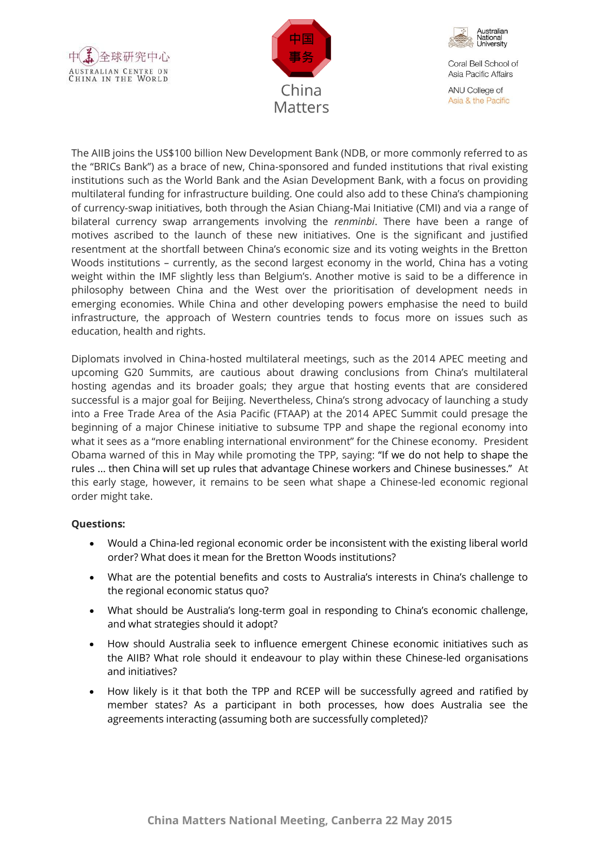





ANU College of Asia & the Pacific

The AIIB joins the US\$100 billion New Development Bank (NDB, or more commonly referred to as the "BRICs Bank") as a brace of new, China-sponsored and funded institutions that rival existing institutions such as the World Bank and the Asian Development Bank, with a focus on providing multilateral funding for infrastructure building. One could also add to these China's championing of currency-swap initiatives, both through the Asian Chiang-Mai Initiative (CMI) and via a range of bilateral currency swap arrangements involving the *renminbi*. There have been a range of motives ascribed to the launch of these new initiatives. One is the significant and justified resentment at the shortfall between China's economic size and its voting weights in the Bretton Woods institutions – currently, as the second largest economy in the world, China has a voting weight within the IMF slightly less than Belgium's. Another motive is said to be a difference in philosophy between China and the West over the prioritisation of development needs in emerging economies. While China and other developing powers emphasise the need to build infrastructure, the approach of Western countries tends to focus more on issues such as education, health and rights.

Diplomats involved in China-hosted multilateral meetings, such as the 2014 APEC meeting and upcoming G20 Summits, are cautious about drawing conclusions from China's multilateral hosting agendas and its broader goals; they argue that hosting events that are considered successful is a major goal for Beijing. Nevertheless, China's strong advocacy of launching a study into a Free Trade Area of the Asia Pacific (FTAAP) at the 2014 APEC Summit could presage the beginning of a major Chinese initiative to subsume TPP and shape the regional economy into what it sees as a "more enabling international environment" for the Chinese economy. President Obama warned of this in May while promoting the TPP, saying: "If we do not help to shape the rules ... then China will set up rules that advantage Chinese workers and Chinese businesses." At this early stage, however, it remains to be seen what shape a Chinese-led economic regional order might take.

### **Questions:**

- Would a China-led regional economic order be inconsistent with the existing liberal world order? What does it mean for the Bretton Woods institutions?
- What are the potential benefits and costs to Australia's interests in China's challenge to the regional economic status quo?
- What should be Australia's long-term goal in responding to China's economic challenge, and what strategies should it adopt?
- How should Australia seek to influence emergent Chinese economic initiatives such as the AIIB? What role should it endeavour to play within these Chinese-led organisations and initiatives?
- How likely is it that both the TPP and RCEP will be successfully agreed and ratified by member states? As a participant in both processes, how does Australia see the agreements interacting (assuming both are successfully completed)?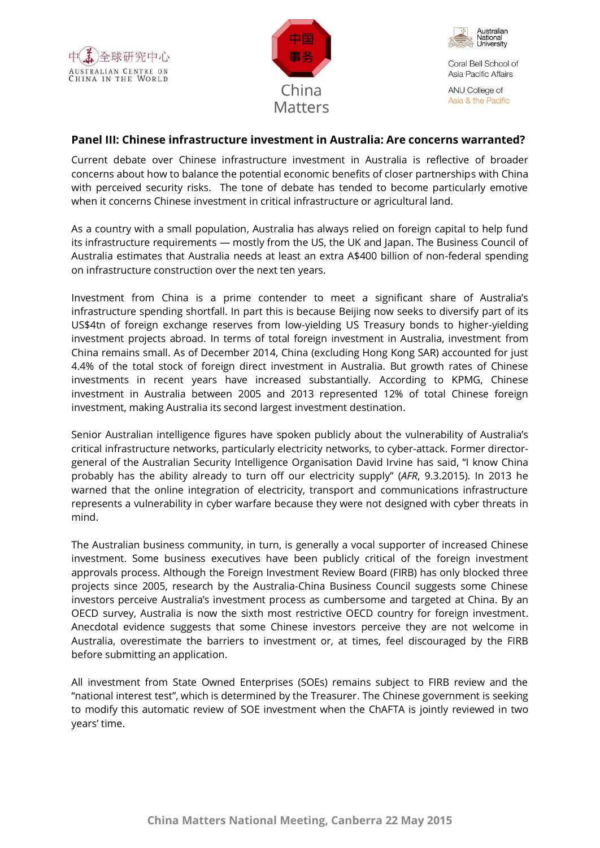





ANU College of Asia & the Pacific

## **Panel III: Chinese infrastructure investment in Australia: Are concerns warranted?**

Current debate over Chinese infrastructure investment in Australia is reflective of broader concerns about how to balance the potential economic benefits of closer partnerships with China with perceived security risks. The tone of debate has tended to become particularly emotive when it concerns Chinese investment in critical infrastructure or agricultural land.

As a country with a small population, Australia has always relied on foreign capital to help fund its infrastructure requirements — mostly from the US, the UK and Japan. The Business Council of Australia estimates that Australia needs at least an extra A\$400 billion of non-federal spending on infrastructure construction over the next ten years.

Investment from China is a prime contender to meet a significant share of Australia's infrastructure spending shortfall. In part this is because Beijing now seeks to diversify part of its US\$4tn of foreign exchange reserves from low-yielding US Treasury bonds to higher-yielding investment projects abroad. In terms of total foreign investment in Australia, investment from China remains small. As of December 2014, China (excluding Hong Kong SAR) accounted for just 4.4% of the total stock of foreign direct investment in Australia. But growth rates of Chinese investments in recent years have increased substantially. According to KPMG, Chinese investment in Australia between 2005 and 2013 represented 12% of total Chinese foreign investment, making Australia its second largest investment destination.

Senior Australian intelligence figures have spoken publicly about the vulnerability of Australia's critical infrastructure networks, particularly electricity networks, to cyber-attack. Former directorgeneral of the Australian Security Intelligence Organisation David Irvine has said, "I know China probably has the ability already to turn off our electricity supply" (*AFR*, 9.3.2015). In 2013 he warned that the online integration of electricity, transport and communications infrastructure represents a vulnerability in cyber warfare because they were not designed with cyber threats in mind.

The Australian business community, in turn, is generally a vocal supporter of increased Chinese investment. Some business executives have been publicly critical of the foreign investment approvals process. Although the Foreign Investment Review Board (FIRB) has only blocked three projects since 2005, research by the Australia-China Business Council suggests some Chinese investors perceive Australia's investment process as cumbersome and targeted at China. By an OECD survey, Australia is now the sixth most restrictive OECD country for foreign investment. Anecdotal evidence suggests that some Chinese investors perceive they are not welcome in Australia, overestimate the barriers to investment or, at times, feel discouraged by the FIRB before submitting an application.

All investment from State Owned Enterprises (SOEs) remains subject to FIRB review and the "national interest test", which is determined by the Treasurer. The Chinese government is seeking to modify this automatic review of SOE investment when the ChAFTA is jointly reviewed in two years' time.